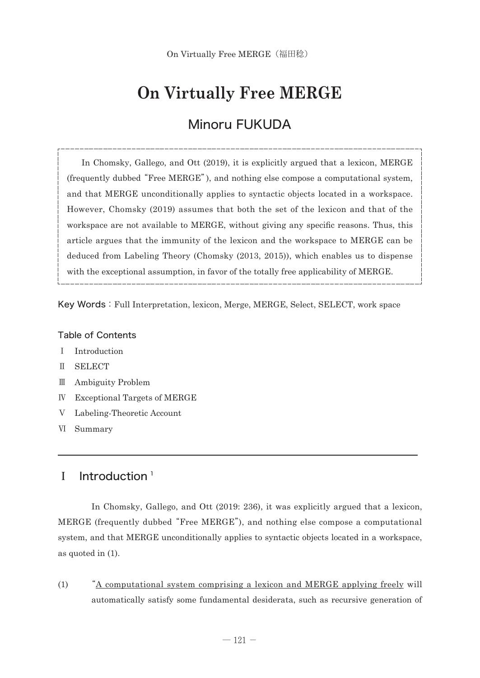# **On Virtually Free MERGE**

## Minoru FUKUDA

 In Chomsky, Gallego, and Ott (2019), it is explicitly argued that a lexicon, MERGE (frequently dubbed "Free MERGE"), and nothing else compose a computational system, and that MERGE unconditionally applies to syntactic objects located in a workspace. However, Chomsky (2019) assumes that both the set of the lexicon and that of the workspace are not available to MERGE, without giving any specific reasons. Thus, this article argues that the immunity of the lexicon and the workspace to MERGE can be deduced from Labeling Theory (Chomsky (2013, 2015)), which enables us to dispense with the exceptional assumption, in favor of the totally free applicability of MERGE.

Key Words:Full Interpretation, lexicon, Merge, MERGE, Select, SELECT, work space

#### Table of Contents

- Ⅰ Introduction
- Ⅱ SELECT
- Ⅲ Ambiguity Problem
- Ⅳ Exceptional Targets of MERGE
- Ⅴ Labeling-Theoretic Account
- Ⅵ Summary

### I Introduction<sup>1</sup>

 In Chomsky, Gallego, and Ott (2019: 236), it was explicitly argued that a lexicon, MERGE (frequently dubbed "Free MERGE"), and nothing else compose a computational system, and that MERGE unconditionally applies to syntactic objects located in a workspace, as quoted in (1).

(1) "A computational system comprising a lexicon and MERGE applying freely will automatically satisfy some fundamental desiderata, such as recursive generation of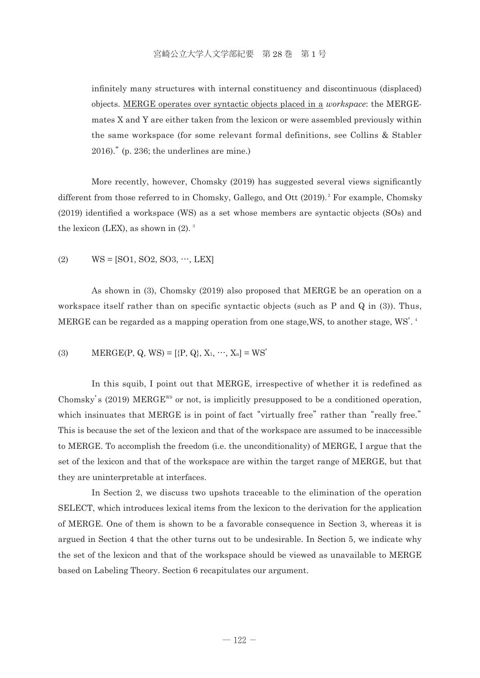infinitely many structures with internal constituency and discontinuous (displaced) objects. MERGE operates over syntactic objects placed in a *workspace*: the MERGEmates X and Y are either taken from the lexicon or were assembled previously within the same workspace (for some relevant formal definitions, see Collins & Stabler 2016)." (p. 236; the underlines are mine.)

 More recently, however, Chomsky (2019) has suggested several views significantly different from those referred to in Chomsky, Gallego, and Ott (2019).<sup>2</sup> For example, Chomsky (2019) identified a workspace (WS) as a set whose members are syntactic objects (SOs) and the lexicon (LEX), as shown in  $(2)$ .<sup>3</sup>

(2)  $WS = [SO1, SO2, SO3, \dots, LEX]$ 

 As shown in (3), Chomsky (2019) also proposed that MERGE be an operation on a workspace itself rather than on specific syntactic objects (such as P and Q in (3)). Thus, MERGE can be regarded as a mapping operation from one stage,WS, to another stage, WS'. <sup>4</sup>

(3) 
$$
\text{MERGE}(P, Q, WS) = [\{P, Q\}, X_1, \cdots, X_n] = WS'
$$

 In this squib, I point out that MERGE, irrespective of whether it is redefined as Chomsky's (2019) MERGE<sup>WS</sup> or not, is implicitly presupposed to be a conditioned operation, which insinuates that MERGE is in point of fact "virtually free" rather than "really free." This is because the set of the lexicon and that of the workspace are assumed to be inaccessible to MERGE. To accomplish the freedom (i.e. the unconditionality) of MERGE, I argue that the set of the lexicon and that of the workspace are within the target range of MERGE, but that they are uninterpretable at interfaces.

 In Section 2, we discuss two upshots traceable to the elimination of the operation SELECT, which introduces lexical items from the lexicon to the derivation for the application of MERGE. One of them is shown to be a favorable consequence in Section 3, whereas it is argued in Section 4 that the other turns out to be undesirable. In Section 5, we indicate why the set of the lexicon and that of the workspace should be viewed as unavailable to MERGE based on Labeling Theory. Section 6 recapitulates our argument.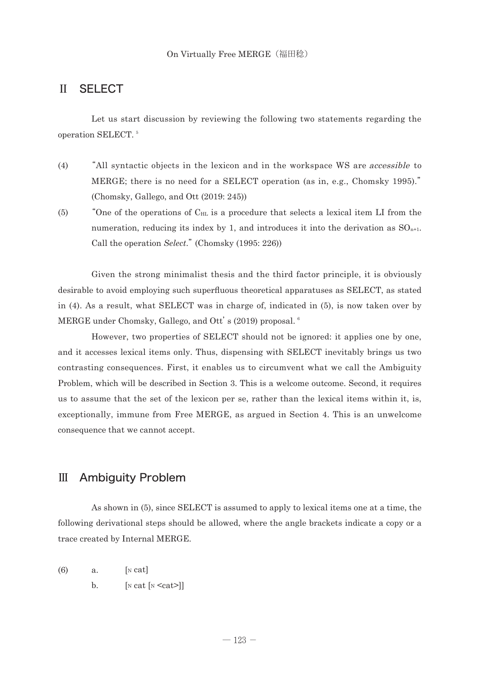### Ⅱ SELECT

 Let us start discussion by reviewing the following two statements regarding the operation SELECT. <sup>5</sup>

- (4) "All syntactic objects in the lexicon and in the workspace WS are accessible to MERGE; there is no need for a SELECT operation (as in, e.g., Chomsky 1995)." (Chomsky, Gallego, and Ott (2019: 245))
- $(5)$  "One of the operations of  $C_{HL}$  is a procedure that selects a lexical item LI from the numeration, reducing its index by 1, and introduces it into the derivation as  $SO_{n+1}$ . Call the operation *Select*." (Chomsky (1995: 226))

 Given the strong minimalist thesis and the third factor principle, it is obviously desirable to avoid employing such superfluous theoretical apparatuses as SELECT, as stated in (4). As a result, what SELECT was in charge of, indicated in (5), is now taken over by MERGE under Chomsky, Gallego, and Ott's (2019) proposal.<sup>6</sup>

 However, two properties of SELECT should not be ignored: it applies one by one, and it accesses lexical items only. Thus, dispensing with SELECT inevitably brings us two contrasting consequences. First, it enables us to circumvent what we call the Ambiguity Problem, which will be described in Section 3. This is a welcome outcome. Second, it requires us to assume that the set of the lexicon per se, rather than the lexical items within it, is, exceptionally, immune from Free MERGE, as argued in Section 4. This is an unwelcome consequence that we cannot accept.

#### Ⅲ Ambiguity Problem

 As shown in (5), since SELECT is assumed to apply to lexical items one at a time, the following derivational steps should be allowed, where the angle brackets indicate a copy or a trace created by Internal MERGE.

- $(6)$  a. [N cat]
	- b.  $\left[ \text{N cat } \left[ \text{N } \text{} \right] \right]$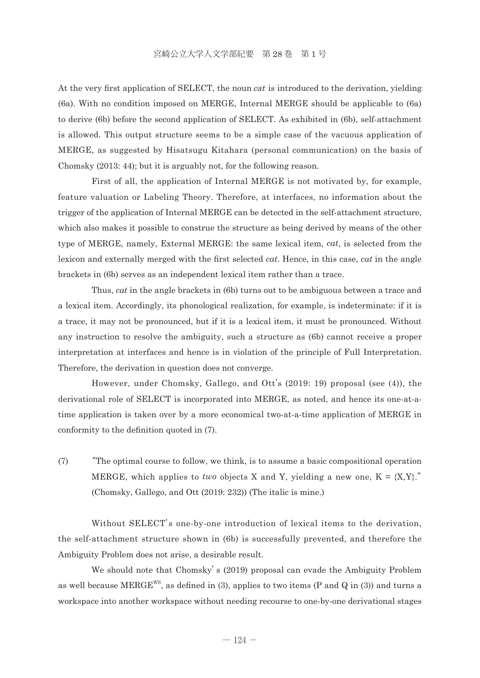At the very first application of SELECT, the noun *cat* is introduced to the derivation, yielding (6a). With no condition imposed on MERGE, Internal MERGE should be applicable to (6a) to derive (6b) before the second application of SELECT. As exhibited in (6b), self-attachment is allowed. This output structure seems to be a simple case of the vacuous application of MERGE, as suggested by Hisatsugu Kitahara (personal communication) on the basis of Chomsky (2013: 44); but it is arguably not, for the following reason.

 First of all, the application of Internal MERGE is not motivated by, for example, feature valuation or Labeling Theory. Therefore, at interfaces, no information about the trigger of the application of Internal MERGE can be detected in the self-attachment structure, which also makes it possible to construe the structure as being derived by means of the other type of MERGE, namely, External MERGE: the same lexical item, *cat*, is selected from the lexicon and externally merged with the first selected *cat*. Hence, in this case, *cat* in the angle brackets in (6b) serves as an independent lexical item rather than a trace.

 Thus, *cat* in the angle brackets in (6b) turns out to be ambiguous between a trace and a lexical item. Accordingly, its phonological realization, for example, is indeterminate: if it is a trace, it may not be pronounced, but if it is a lexical item, it must be pronounced. Without any instruction to resolve the ambiguity, such a structure as (6b) cannot receive a proper interpretation at interfaces and hence is in violation of the principle of Full Interpretation. Therefore, the derivation in question does not converge.

 However, under Chomsky, Gallego, and Ott's (2019: 19) proposal (see (4)), the derivational role of SELECT is incorporated into MERGE, as noted, and hence its one-at-atime application is taken over by a more economical two-at-a-time application of MERGE in conformity to the definition quoted in (7).

(7) "The optimal course to follow, we think, is to assume a basic compositional operation MERGE, which applies to *two* objects X and Y, yielding a new one,  $K = \{X, Y\}$ ." (Chomsky, Gallego, and Ott (2019: 232)) (The italic is mine.)

 Without SELECT's one-by-one introduction of lexical items to the derivation, the self-attachment structure shown in (6b) is successfully prevented, and therefore the Ambiguity Problem does not arise, a desirable result.

 We should note that Chomsky's (2019) proposal can evade the Ambiguity Problem as well because  $MERGE^{ws}$ , as defined in (3), applies to two items (P and Q in (3)) and turns a workspace into another workspace without needing recourse to one-by-one derivational stages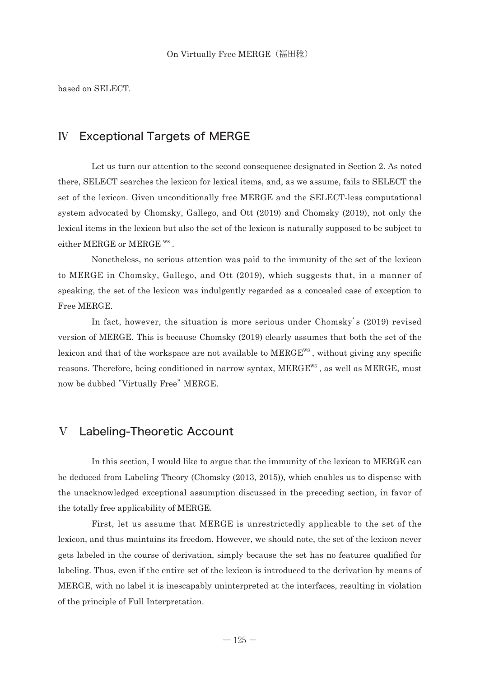based on SELECT.

#### Ⅳ Exceptional Targets of MERGE

 Let us turn our attention to the second consequence designated in Section 2. As noted there, SELECT searches the lexicon for lexical items, and, as we assume, fails to SELECT the set of the lexicon. Given unconditionally free MERGE and the SELECT-less computational system advocated by Chomsky, Gallego, and Ott (2019) and Chomsky (2019), not only the lexical items in the lexicon but also the set of the lexicon is naturally supposed to be subject to either MERGE or MERGE WS .

 Nonetheless, no serious attention was paid to the immunity of the set of the lexicon to MERGE in Chomsky, Gallego, and Ott (2019), which suggests that, in a manner of speaking, the set of the lexicon was indulgently regarded as a concealed case of exception to Free MERGE.

 In fact, however, the situation is more serious under Chomsky's (2019) revised version of MERGE. This is because Chomsky (2019) clearly assumes that both the set of the lexicon and that of the workspace are not available to  $MERGE^{ws}$ , without giving any specific reasons. Therefore, being conditioned in narrow syntax, MERGE<sup>WS</sup>, as well as MERGE, must now be dubbed "Virtually Free" MERGE.

#### Ⅴ Labeling-Theoretic Account

 In this section, I would like to argue that the immunity of the lexicon to MERGE can be deduced from Labeling Theory (Chomsky (2013, 2015)), which enables us to dispense with the unacknowledged exceptional assumption discussed in the preceding section, in favor of the totally free applicability of MERGE.

 First, let us assume that MERGE is unrestrictedly applicable to the set of the lexicon, and thus maintains its freedom. However, we should note, the set of the lexicon never gets labeled in the course of derivation, simply because the set has no features qualified for labeling. Thus, even if the entire set of the lexicon is introduced to the derivation by means of MERGE, with no label it is inescapably uninterpreted at the interfaces, resulting in violation of the principle of Full Interpretation.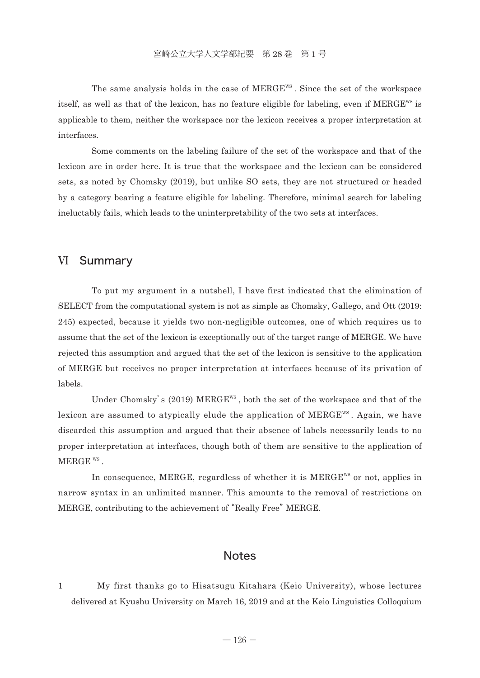The same analysis holds in the case of  $MERGE^{ws}$ . Since the set of the workspace itself, as well as that of the lexicon, has no feature eligible for labeling, even if  $MERGE^{ws}$  is applicable to them, neither the workspace nor the lexicon receives a proper interpretation at interfaces.

 Some comments on the labeling failure of the set of the workspace and that of the lexicon are in order here. It is true that the workspace and the lexicon can be considered sets, as noted by Chomsky (2019), but unlike SO sets, they are not structured or headed by a category bearing a feature eligible for labeling. Therefore, minimal search for labeling ineluctably fails, which leads to the uninterpretability of the two sets at interfaces.

#### Ⅵ Summary

 To put my argument in a nutshell, I have first indicated that the elimination of SELECT from the computational system is not as simple as Chomsky, Gallego, and Ott (2019: 245) expected, because it yields two non-negligible outcomes, one of which requires us to assume that the set of the lexicon is exceptionally out of the target range of MERGE. We have rejected this assumption and argued that the set of the lexicon is sensitive to the application of MERGE but receives no proper interpretation at interfaces because of its privation of labels.

Under Chomsky's (2019) MERGE<sup>WS</sup>, both the set of the workspace and that of the lexicon are assumed to atypically elude the application of  $MERGE^{ws}$ . Again, we have discarded this assumption and argued that their absence of labels necessarily leads to no proper interpretation at interfaces, though both of them are sensitive to the application of MERGE WS .

In consequence, MERGE, regardless of whether it is MERGE<sup>WS</sup> or not, applies in narrow syntax in an unlimited manner. This amounts to the removal of restrictions on MERGE, contributing to the achievement of "Really Free" MERGE.

#### **Notes**

1 My first thanks go to Hisatsugu Kitahara (Keio University), whose lectures delivered at Kyushu University on March 16, 2019 and at the Keio Linguistics Colloquium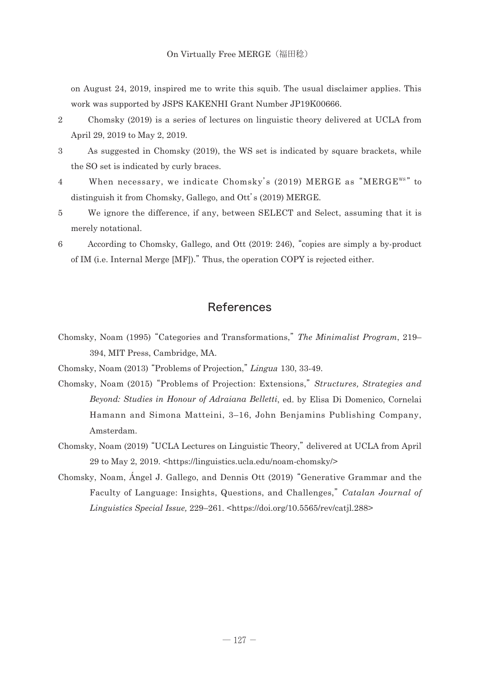on August 24, 2019, inspired me to write this squib. The usual disclaimer applies. This work was supported by JSPS KAKENHI Grant Number JP19K00666.

- 2 Chomsky (2019) is a series of lectures on linguistic theory delivered at UCLA from April 29, 2019 to May 2, 2019.
- 

3 As suggested in Chomsky (2019), the WS set is indicated by square brackets, while the SO set is indicated by curly braces.

- 4 When necessary, we indicate Chomsky's (2019) MERGE as "MERGE"s" to distinguish it from Chomsky, Gallego, and Ott's (2019) MERGE.
- 5 We ignore the difference, if any, between SELECT and Select, assuming that it is merely notational.
- 6 According to Chomsky, Gallego, and Ott (2019: 246), "copies are simply a by-product of IM (i.e. Internal Merge [MF])." Thus, the operation COPY is rejected either.

### References

- Chomsky, Noam (1995) "Categories and Transformations," The Minimalist Program, 219– 394, MIT Press, Cambridge, MA.
- Chomsky, Noam (2013) "Problems of Projection," Lingua 130, 33-49.
- Chomsk y, Noam (2015) "Problems of Projection: Extensions,"*Structures, Strategies and Beyond: Studies in Honour of Adraiana Belletti*, ed. by Elisa Di Domenico, Cornelai Hamann and Simona Matteini, 3–16, John Benjamins Publishing Company, Amsterdam.
- Chomsky, Noam (2019) "UCLA Lectures on Linguistic Theory," delivered at UCLA from April 29 to May 2, 2019. <https://linguistics.ucla.edu/noam-chomsky/>
- Chomsky, Noam, Ángel J. Gallego, and Dennis Ott (2019) "Generative Grammar and the Faculty of Language: Insights, Questions, and Challenges,"*Catalan Journal of Linguistics Special Issue,* 229–261. <https://doi.org/10.5565/rev/catjl.288>